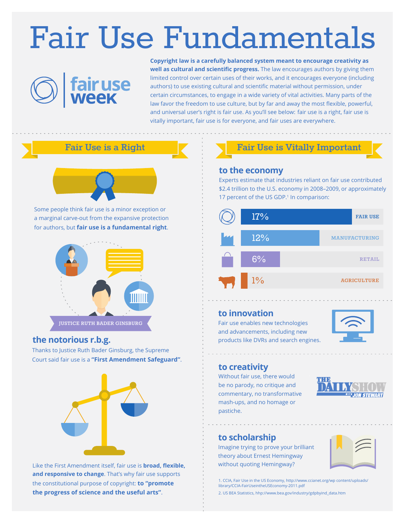# Fair Use Fundamentals



**Copyright law is a carefully balanced system meant to encourage creativity as well as cultural and scientific progress.** The law encourages authors by giving them limited control over certain uses of their works, and it encourages everyone (including authors) to use existing cultural and scientific material without permission, under certain circumstances, to engage in a wide variety of vital activities. Many parts of the law favor the freedom to use culture, but by far and away the most flexible, powerful, and universal user's right is fair use. As you'll see below: fair use is a right, fair use is vitally important, fair use is for everyone, and fair uses are everywhere.



Some people think fair use is a minor exception or a marginal carve-out from the expansive protection for authors, but **fair use is a fundamental right**.



#### **the notorious r.b.g.**

Thanks to Justice Ruth Bader Ginsburg, the Supreme Court said fair use is a **"First Amendment Safeguard"**.



Like the First Amendment itself, fair use is **broad, flexible, and responsive to change**. That's why fair use supports the constitutional purpose of copyright: **to "promote the progress of science and the useful arts"**.

# Fair Use is a Right **Fair Use is Vitally Important**

#### **to the economy**

Experts estimate that industries reliant on fair use contributed \$2.4 trillion to the U.S. economy in 2008–2009, or approximately 17 percent of the US GDP.<sup>1</sup> In comparison:



#### **to innovation**

Fair use enables new technologies and advancements, including new products like DVRs and search engines.



#### **to creativity**

Without fair use, there would be no parody, no critique and commentary, no transformative mash-ups, and no homage or pastiche.



### **to scholarship**

Imagine trying to prove your brilliant theory about Ernest Hemingway without quoting Hemingway?



1. CCIA, Fair Use in the US Economy, http://www.ccianet.org/wp content/uploads/ library/CCIA-FairUseintheUSEconomy-2011.pdf

2. US BEA Statistics, hhp://www.bea.gov/industry/gdpbyind\_data.htm